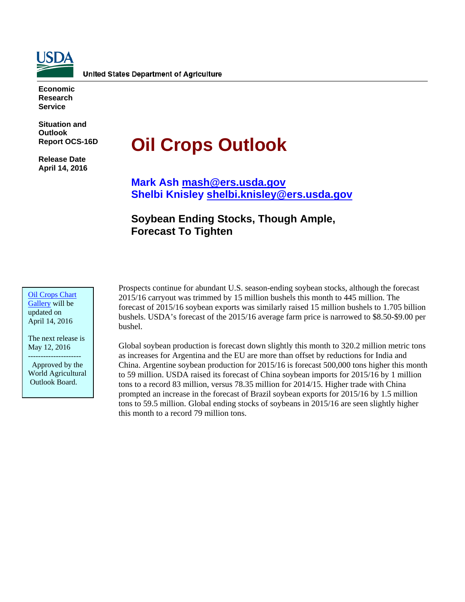

**Economic Research Service**

**Situation and Outlook Report OCS-16D**

**Release Date April 14, 2016**

# **Oil Crops Outlook**

**Mark Ash [mash@ers.usda.gov](mailto:mash@ers.usda.gov) Shelbi Knisley [shelbi.knisley@ers.usda.gov](mailto:shelbi.knisley@ers.usda.gov)**

# **Soybean Ending Stocks, Though Ample, Forecast To Tighten**

[Oil Crops Chart](http://www.ers.usda.gov/data-products/oil-crops-chart-gallery.aspx)  [Gallery](http://www.ers.usda.gov/data-products/oil-crops-chart-gallery.aspx) will be updated on April 14, 2016

The next release is May 12, 2016 ---------------------

 Approved by the World Agricultural Outlook Board.

Prospects continue for abundant U.S. season-ending soybean stocks, although the forecast 2015/16 carryout was trimmed by 15 million bushels this month to 445 million. The forecast of 2015/16 soybean exports was similarly raised 15 million bushels to 1.705 billion bushels. USDA's forecast of the 2015/16 average farm price is narrowed to \$8.50-\$9.00 per bushel.

Global soybean production is forecast down slightly this month to 320.2 million metric tons as increases for Argentina and the EU are more than offset by reductions for India and China. Argentine soybean production for 2015/16 is forecast 500,000 tons higher this month to 59 million. USDA raised its forecast of China soybean imports for 2015/16 by 1 million tons to a record 83 million, versus 78.35 million for 2014/15. Higher trade with China prompted an increase in the forecast of Brazil soybean exports for 2015/16 by 1.5 million tons to 59.5 million. Global ending stocks of soybeans in 2015/16 are seen slightly higher this month to a record 79 million tons.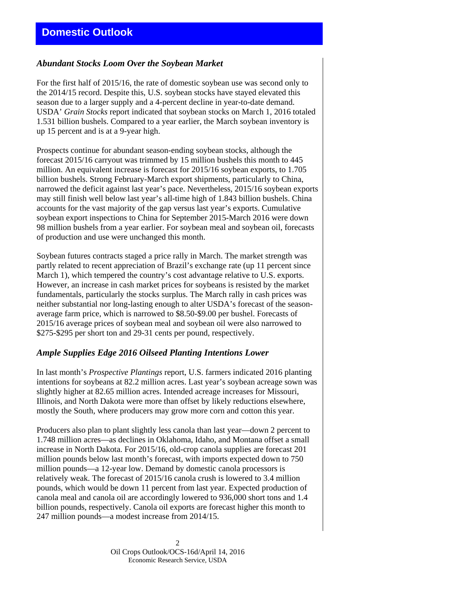# *Abundant Stocks Loom Over the Soybean Market*

For the first half of 2015/16, the rate of domestic soybean use was second only to the 2014/15 record. Despite this, U.S. soybean stocks have stayed elevated this season due to a larger supply and a 4-percent decline in year-to-date demand. USDA' *Grain Stocks* report indicated that soybean stocks on March 1, 2016 totaled 1.531 billion bushels. Compared to a year earlier, the March soybean inventory is up 15 percent and is at a 9-year high.

Prospects continue for abundant season-ending soybean stocks, although the forecast 2015/16 carryout was trimmed by 15 million bushels this month to 445 million. An equivalent increase is forecast for 2015/16 soybean exports, to 1.705 billion bushels. Strong February-March export shipments, particularly to China, narrowed the deficit against last year's pace. Nevertheless, 2015/16 soybean exports may still finish well below last year's all-time high of 1.843 billion bushels. China accounts for the vast majority of the gap versus last year's exports. Cumulative soybean export inspections to China for September 2015-March 2016 were down 98 million bushels from a year earlier. For soybean meal and soybean oil, forecasts of production and use were unchanged this month.

Soybean futures contracts staged a price rally in March. The market strength was partly related to recent appreciation of Brazil's exchange rate (up 11 percent since March 1), which tempered the country's cost advantage relative to U.S. exports. However, an increase in cash market prices for soybeans is resisted by the market fundamentals, particularly the stocks surplus. The March rally in cash prices was neither substantial nor long-lasting enough to alter USDA's forecast of the seasonaverage farm price, which is narrowed to \$8.50-\$9.00 per bushel. Forecasts of 2015/16 average prices of soybean meal and soybean oil were also narrowed to \$275-\$295 per short ton and 29-31 cents per pound, respectively.

# *Ample Supplies Edge 2016 Oilseed Planting Intentions Lower*

In last month's *Prospective Plantings* report, U.S. farmers indicated 2016 planting intentions for soybeans at 82.2 million acres. Last year's soybean acreage sown was slightly higher at 82.65 million acres. Intended acreage increases for Missouri, Illinois, and North Dakota were more than offset by likely reductions elsewhere, mostly the South, where producers may grow more corn and cotton this year.

Producers also plan to plant slightly less canola than last year—down 2 percent to 1.748 million acres—as declines in Oklahoma, Idaho, and Montana offset a small increase in North Dakota. For 2015/16, old-crop canola supplies are forecast 201 million pounds below last month's forecast, with imports expected down to 750 million pounds—a 12-year low. Demand by domestic canola processors is relatively weak. The forecast of 2015/16 canola crush is lowered to 3.4 million pounds, which would be down 11 percent from last year. Expected production of canola meal and canola oil are accordingly lowered to 936,000 short tons and 1.4 billion pounds, respectively. Canola oil exports are forecast higher this month to 247 million pounds—a modest increase from 2014/15.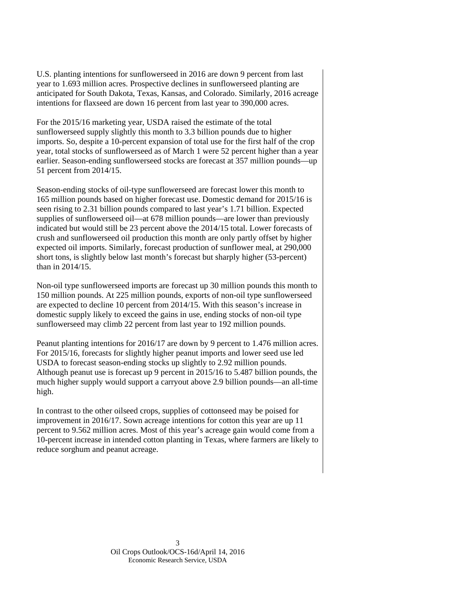U.S. planting intentions for sunflowerseed in 2016 are down 9 percent from last year to 1.693 million acres. Prospective declines in sunflowerseed planting are anticipated for South Dakota, Texas, Kansas, and Colorado. Similarly, 2016 acreage intentions for flaxseed are down 16 percent from last year to 390,000 acres.

For the 2015/16 marketing year, USDA raised the estimate of the total sunflowerseed supply slightly this month to 3.3 billion pounds due to higher imports. So, despite a 10-percent expansion of total use for the first half of the crop year, total stocks of sunflowerseed as of March 1 were 52 percent higher than a year earlier. Season-ending sunflowerseed stocks are forecast at 357 million pounds—up 51 percent from 2014/15.

Season-ending stocks of oil-type sunflowerseed are forecast lower this month to 165 million pounds based on higher forecast use. Domestic demand for 2015/16 is seen rising to 2.31 billion pounds compared to last year's 1.71 billion. Expected supplies of sunflowerseed oil—at 678 million pounds—are lower than previously indicated but would still be 23 percent above the 2014/15 total. Lower forecasts of crush and sunflowerseed oil production this month are only partly offset by higher expected oil imports. Similarly, forecast production of sunflower meal, at 290,000 short tons, is slightly below last month's forecast but sharply higher (53-percent) than in 2014/15.

Non-oil type sunflowerseed imports are forecast up 30 million pounds this month to 150 million pounds. At 225 million pounds, exports of non-oil type sunflowerseed are expected to decline 10 percent from 2014/15. With this season's increase in domestic supply likely to exceed the gains in use, ending stocks of non-oil type sunflowerseed may climb 22 percent from last year to 192 million pounds.

Peanut planting intentions for 2016/17 are down by 9 percent to 1.476 million acres. For 2015/16, forecasts for slightly higher peanut imports and lower seed use led USDA to forecast season-ending stocks up slightly to 2.92 million pounds. Although peanut use is forecast up 9 percent in 2015/16 to 5.487 billion pounds, the much higher supply would support a carryout above 2.9 billion pounds—an all-time high.

In contrast to the other oilseed crops, supplies of cottonseed may be poised for improvement in 2016/17. Sown acreage intentions for cotton this year are up 11 percent to 9.562 million acres. Most of this year's acreage gain would come from a 10-percent increase in intended cotton planting in Texas, where farmers are likely to reduce sorghum and peanut acreage.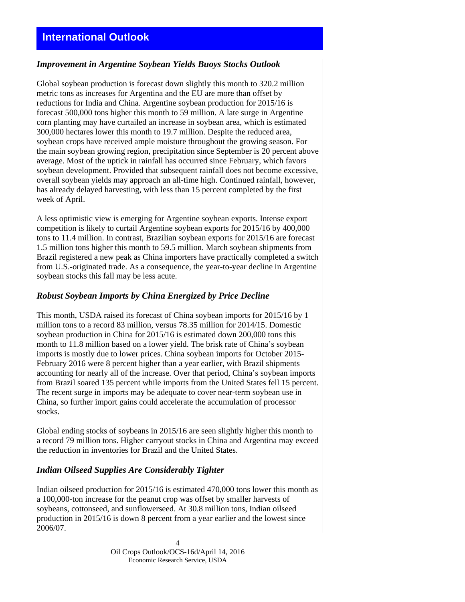# *Improvement in Argentine Soybean Yields Buoys Stocks Outlook*

Global soybean production is forecast down slightly this month to 320.2 million metric tons as increases for Argentina and the EU are more than offset by reductions for India and China. Argentine soybean production for 2015/16 is forecast 500,000 tons higher this month to 59 million. A late surge in Argentine corn planting may have curtailed an increase in soybean area, which is estimated 300,000 hectares lower this month to 19.7 million. Despite the reduced area, soybean crops have received ample moisture throughout the growing season. For the main soybean growing region, precipitation since September is 20 percent above average. Most of the uptick in rainfall has occurred since February, which favors soybean development. Provided that subsequent rainfall does not become excessive, overall soybean yields may approach an all-time high. Continued rainfall, however, has already delayed harvesting, with less than 15 percent completed by the first week of April.

A less optimistic view is emerging for Argentine soybean exports. Intense export competition is likely to curtail Argentine soybean exports for 2015/16 by 400,000 tons to 11.4 million. In contrast, Brazilian soybean exports for 2015/16 are forecast 1.5 million tons higher this month to 59.5 million. March soybean shipments from Brazil registered a new peak as China importers have practically completed a switch from U.S.-originated trade. As a consequence, the year-to-year decline in Argentine soybean stocks this fall may be less acute.

# *Robust Soybean Imports by China Energized by Price Decline*

This month, USDA raised its forecast of China soybean imports for 2015/16 by 1 million tons to a record 83 million, versus 78.35 million for 2014/15. Domestic soybean production in China for 2015/16 is estimated down 200,000 tons this month to 11.8 million based on a lower yield. The brisk rate of China's soybean imports is mostly due to lower prices. China soybean imports for October 2015- February 2016 were 8 percent higher than a year earlier, with Brazil shipments accounting for nearly all of the increase. Over that period, China's soybean imports from Brazil soared 135 percent while imports from the United States fell 15 percent. The recent surge in imports may be adequate to cover near-term soybean use in China, so further import gains could accelerate the accumulation of processor stocks.

Global ending stocks of soybeans in 2015/16 are seen slightly higher this month to a record 79 million tons. Higher carryout stocks in China and Argentina may exceed the reduction in inventories for Brazil and the United States.

# *Indian Oilseed Supplies Are Considerably Tighter*

Indian oilseed production for 2015/16 is estimated 470,000 tons lower this month as a 100,000-ton increase for the peanut crop was offset by smaller harvests of soybeans, cottonseed, and sunflowerseed. At 30.8 million tons, Indian oilseed production in 2015/16 is down 8 percent from a year earlier and the lowest since 2006/07.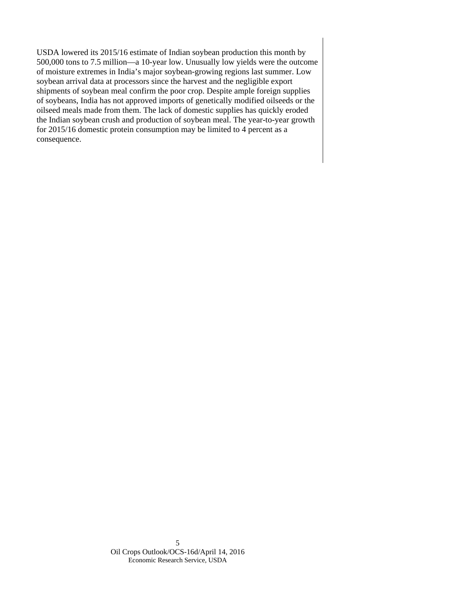USDA lowered its 2015/16 estimate of Indian soybean production this month by 500,000 tons to 7.5 million—a 10-year low. Unusually low yields were the outcome of moisture extremes in India's major soybean-growing regions last summer. Low soybean arrival data at processors since the harvest and the negligible export shipments of soybean meal confirm the poor crop. Despite ample foreign supplies of soybeans, India has not approved imports of genetically modified oilseeds or the oilseed meals made from them. The lack of domestic supplies has quickly eroded the Indian soybean crush and production of soybean meal. The year-to-year growth for 2015/16 domestic protein consumption may be limited to 4 percent as a consequence.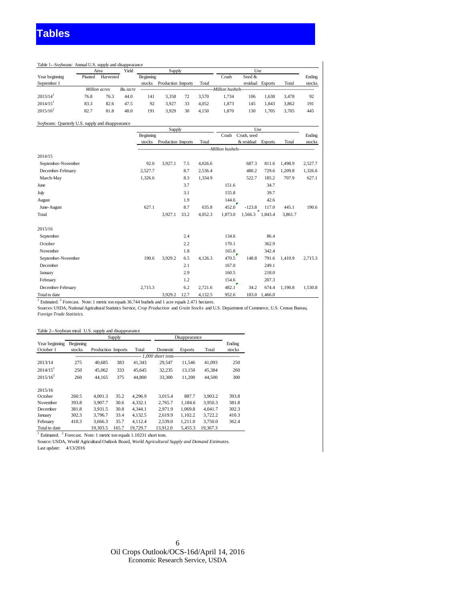| Harvested<br>Million acres<br>Bu./acre | Beginning<br>stocks | Production Imports |    | Total                                             | Crush<br>Million bushels- | Seed &<br>residual | <b>Exports</b> | Total | Ending<br>stocks |
|----------------------------------------|---------------------|--------------------|----|---------------------------------------------------|---------------------------|--------------------|----------------|-------|------------------|
|                                        |                     |                    |    |                                                   |                           |                    |                |       |                  |
|                                        |                     |                    |    |                                                   |                           |                    |                |       |                  |
|                                        |                     |                    |    |                                                   |                           |                    |                |       |                  |
| 76.3<br>44.0                           | 141                 | 3.358              | 72 | 3.570                                             | 1.734                     | 106                | 1.638          | 3,478 | 92               |
| 47.5<br>82.6                           | 92                  | 3.927              | 33 | 4.052                                             | 1.873                     | 145                | 1.843          | 3,862 | 191              |
| 48.0                                   | 191                 | 3.929              | 30 | 4.150                                             | 1.870                     | 130                | 1.705          | 3,705 | 445              |
|                                        |                     |                    |    |                                                   |                           |                    |                |       |                  |
|                                        | 81.8                |                    |    | Soybeans: Quarterly U.S. supply and disappearance |                           |                    |                |       |                  |

|                    |           | Supply             |      |           | Use     |                 |                |         |         |
|--------------------|-----------|--------------------|------|-----------|---------|-----------------|----------------|---------|---------|
|                    | Beginning |                    |      |           | Crush   | Crush, seed     |                |         | Ending  |
|                    | stocks    | Production Imports |      | Total     |         | & residual      | <b>Exports</b> | Total   | stocks  |
|                    |           |                    |      |           |         |                 |                |         |         |
| 2014/15            |           |                    |      |           |         |                 |                |         |         |
| September-November | 92.0      | 3,927.1            | 7.5  | 4,026.6   |         | 687.3           | 811.6          | 1,498.9 | 2,527.7 |
| December-February  | 2,527.7   |                    | 8.7  | 2,536.4   |         | 480.2           | 729.6          | 1,209.8 | 1,326.6 |
| March-May          | 1,326.6   |                    | 8.3  | 1,334.9   |         | 522.7           | 185.2          | 707.9   | 627.1   |
| June               |           |                    | 3.7  |           | 151.6   |                 | 34.7           |         |         |
| July               |           |                    | 3.1  |           | 155.8   |                 | 39.7           |         |         |
| August             |           |                    | 1.9  |           | 144.6   |                 | 42.6           |         |         |
| June-August        | 627.1     |                    | 8.7  | 635.8     | 452.0   | $-123.8$        | 117.0          | 445.1   | 190.6   |
| Total              |           | 3,927.1            | 33.2 | 4,052.3   | 1,873.0 | 1,566.3 1,843.4 |                | 3,861.7 |         |
| 2015/16            |           |                    |      |           |         |                 |                |         |         |
| September          |           |                    | 2.4  |           | 134.6   |                 | 86.4           |         |         |
| October            |           |                    | 2.2  |           | 170.1   |                 | 362.9          |         |         |
| November           |           |                    | 1.8  |           | 165.8   |                 | 342.4          |         |         |
| September-November | 190.6     | 3,929.2            | 6.5  | 4,126.3   | 470.5   | 148.8           | 791.6          | 1.410.9 | 2,715.3 |
| December           |           |                    | 2.1  |           | 167.0   |                 | 249.1          |         |         |
| January            |           |                    | 2.9  |           | 160.5   |                 | 218.0          |         |         |
| February           |           |                    | 1.2  |           | 154.6   |                 | 207.3          |         |         |
| December-February  | 2,715.3   |                    | 6.2  | 2,721.6   | 482.1   | 34.2            | 674.4          | 1,190.8 | 1,530.8 |
| Total to date      |           | 39292              | 127  | 4 1 3 2 5 | 952.6   |                 | $1830 + 14660$ |         |         |

Total to date 3,929.2 12.7 4,132.5 952.6 183.0 1,466.0 1 Estimated. <sup>2</sup> Forecast. Note: 1 metric ton equals 36.744 bushels and 1 acre equals 2.471 hectares.

Sources: USDA, National Agricultural Statistics Service, *Crop Production* and *Grain Stocks* and U.S. Department of Commerce, U.S. Census Bureau, *Foreign Trade Statistics.*

|                        |           |                    | Supply |          |                       | Disappearance  |          |        |
|------------------------|-----------|--------------------|--------|----------|-----------------------|----------------|----------|--------|
| Year beginning         | Beginning |                    |        |          |                       |                |          | Ending |
| October 1              | stocks    | Production Imports |        | Total    | Domestic              | <b>Exports</b> | Total    | stocks |
|                        |           |                    |        |          | --- 1.000 short tons- |                |          |        |
| 2013/14                | 275       | 40.685             | 383    | 41.343   | 29.547                | 11,546         | 41,093   | 250    |
| $2014/15$ <sup>1</sup> | 250       | 45,062             | 333    | 45.645   | 32,235                | 13,150         | 45,384   | 260    |
| $2015/16^2$            | 260       | 44.165             | 375    | 44.800   | 33,300                | 11.200         | 44.500   | 300    |
| 2015/16                |           |                    |        |          |                       |                |          |        |
| October                | 260.5     | 4.001.3            | 35.2   | 4.296.9  | 3.015.4               | 887.7          | 3.903.2  | 393.8  |
| November               | 393.8     | 3.907.7            | 30.6   | 4.332.1  | 2.765.7               | 1.184.6        | 3.950.3  | 381.8  |
| December               | 381.8     | 3.931.5            | 30.8   | 4.344.1  | 2.971.9               | 1.069.8        | 4.041.7  | 302.3  |
| January                | 302.3     | 3.796.7            | 33.4   | 4.132.5  | 2.619.9               | 1.102.2        | 3.722.2  | 410.3  |
| February               | 410.3     | 3.666.3            | 35.7   | 4.112.4  | 2.539.0               | 1.211.0        | 3.750.0  | 362.4  |
| Total to date          |           | 19.303.5           | 165.7  | 19.729.7 | 13.912.0              | 5.455.3        | 19.367.3 |        |

<sup>1</sup> Estimated. <sup>2</sup> Forecast. Note: 1 metric ton equals 1.10231 short tons.

Source: USDA, World Agricultural Outlook Board, *World Agricultural Supply and Demand Estimates.* Last update: 4/13/2016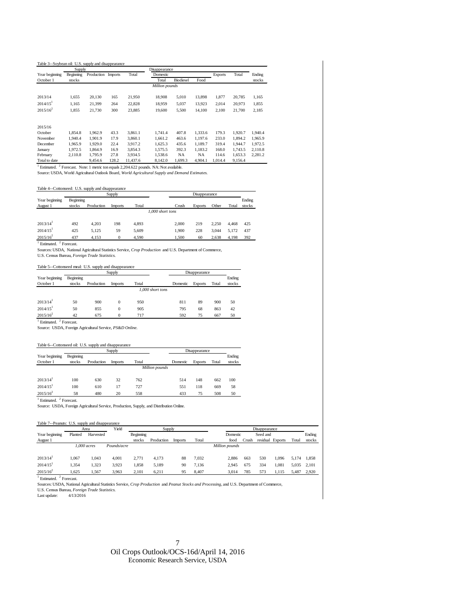#### Table 3--Soybean oil: U.S. supply and disappearance

|                        | Supply    |                    |       |          | Disappearance  |           |           |                |         |         |
|------------------------|-----------|--------------------|-------|----------|----------------|-----------|-----------|----------------|---------|---------|
| Year beginning         | Beginning | Production Imports |       | Total    | Domestic       |           |           | <b>Exports</b> | Total   | Ending  |
| October 1              | stocks    |                    |       |          | Total          | Biodiesel | Food      |                |         | stocks  |
|                        |           |                    |       |          | Million pounds |           |           |                |         |         |
| 2013/14                | 1.655     | 20,130             | 165   | 21,950   | 18,908         | 5,010     | 13,898    | 1.877          | 20,785  | 1,165   |
| $2014/15$ <sup>1</sup> | 1.165     | 21,399             | 264   | 22,828   | 18,959         | 5,037     | 13,923    | 2,014          | 20,973  | 1,855   |
| $2015/16^2$            | 1.855     | 21,730             | 300   | 23,885   | 19,600         | 5.500     | 14.100    | 2.100          | 21,700  | 2.185   |
| 2015/16                |           |                    |       |          |                |           |           |                |         |         |
| October                | 1.854.8   | 1.962.9            | 43.3  | 3.861.1  | 1.741.4        | 407.8     | 1.333.6   | 179.3          | 1.920.7 | 1.940.4 |
| November               | 1.940.4   | 1.901.9            | 17.9  | 3.860.1  | 1.661.2        | 463.6     | 1.197.6   | 233.0          | 1.894.2 | 1.965.9 |
| December               | 1.965.9   | 1.929.0            | 22.4  | 3.917.2  | 1.625.3        | 435.6     | 1.189.7   | 319.4          | 1.944.7 | 1.972.5 |
| January                | 1.972.5   | 1.864.9            | 16.9  | 3.854.3  | 1.575.5        | 392.3     | 1.183.2   | 168.0          | 1.743.5 | 2,110.8 |
| February               | 2.110.8   | 1.795.9            | 27.8  | 3.934.5  | 1,538.6        | <b>NA</b> | <b>NA</b> | 114.6          | 1,653.3 | 2,281.2 |
| Total to date          |           | 9.454.6            | 128.2 | 11.437.6 | 8.142.0        | 1.699.3   | 4.904.1   | 1.014.4        | 9.156.4 |         |

<sup>1</sup> Estimated. <sup>2</sup> Forecast. Note: 1 metric ton equals 2,204.622 pounds. NA: Not available.

Source: USDA, World Agricultural Outlook Board, *World Agricultural Supply and Demand Estimates.*

#### Table 4--Cottonseed: U.S. supply and disappearance

|                        |           |            | Supply         |       |                  |       | Disappearance  |       |       |        |
|------------------------|-----------|------------|----------------|-------|------------------|-------|----------------|-------|-------|--------|
| Year beginning         | Beginning |            |                |       |                  |       |                |       |       | Ending |
| August 1               | stocks    | Production | <b>Imports</b> | Total |                  | Crush | <b>Exports</b> | Other | Total | stocks |
|                        |           |            |                |       | 1.000 short tons |       |                |       |       |        |
|                        |           |            |                |       |                  |       |                |       |       |        |
| $2013/14$ <sup>1</sup> | 492       | 4.203      | 198            | 4.893 |                  | 2.000 | 219            | 2.250 | 4.468 | 425    |
| $2014/15$ <sup>1</sup> | 425       | 5.125      | 59             | 5.609 |                  | 1.900 | 228            | 3.044 | 5.172 | 437    |
| $2015/16^2$            | 437       | 4.153      | 0              | 4.590 |                  | 1.500 | 60             | 2,638 | 4.198 | 392    |

 $1$  Estimated.  $2$  Forecast.

Sources: USDA*,* National Agricultural Statistics Service, *Crop Production* and U.S. Department of Commerce, U.S. Census Bureau, *Foreign Trade Statistics.*

#### Table 5--Cottonseed meal: U.S. supply and disappearance

|                        |           |            | Supply         |                  |          | Disappearance  |       |        |
|------------------------|-----------|------------|----------------|------------------|----------|----------------|-------|--------|
| Year beginning         | Beginning |            |                |                  |          |                |       | Ending |
| October 1              | stocks    | Production | <b>Imports</b> | Total            | Domestic | <b>Exports</b> | Total | stocks |
|                        |           |            |                | 1,000 short tons |          |                |       |        |
|                        |           |            |                |                  |          |                |       |        |
| $2013/14$ <sup>1</sup> | 50        | 900        | $\mathbf{0}$   | 950              | 811      | 89             | 900   | 50     |
| $2014/15$ <sup>1</sup> | 50        | 855        | $\bf{0}$       | 905              | 795      | 68             | 863   | 42     |
| $2015/16^2$            | 42        | 675        | 0              | 717              | 592      | 75             | 667   | 50     |
| Estimated.             | Forecast. |            |                |                  |          |                |       |        |

Source: USDA, Foreign Agricultural Service, *PS&D Online.*

#### Table 6--Cottonseed oil: U.S. supply and disappearance

|                        |           |            | Supply         |       |                |          | Disappearance  |       |        |
|------------------------|-----------|------------|----------------|-------|----------------|----------|----------------|-------|--------|
| Year beginning         | Beginning |            |                |       |                |          |                |       | Ending |
| October 1              | stocks    | Production | <b>Imports</b> | Total |                | Domestic | <b>Exports</b> | Total | stocks |
|                        |           |            |                |       | Million pounds |          |                |       |        |
|                        |           |            |                |       |                |          |                |       |        |
| $2013/14$ <sup>1</sup> | 100       | 630        | 32             | 762   |                | 514      | 148            | 662   | 100    |
| $2014/15$ <sup>1</sup> | 100       | 610        | 17             | 727   |                | 551      | 118            | 669   | 58     |
| $2015/16^2$<br>$\sim$  | 58        | 480        | 20             | 558   |                | 433      | 75             | 508   | 50     |

<sup>1</sup> Estimated. <sup>2</sup> Forecast.

Source: USDA, Foreign Agricultural Service, Production, Supply, and Distribution Online*.*

| Table 7--Peanuts: U.S. supply and disappearance |         |               |             |           |            |         |       |                |       |               |                  |       |        |
|-------------------------------------------------|---------|---------------|-------------|-----------|------------|---------|-------|----------------|-------|---------------|------------------|-------|--------|
|                                                 |         | Area          | Yield       |           | Supply     |         |       |                |       | Disappearance |                  |       |        |
| Year beginning                                  | Planted | Harvested     |             | Beginning |            |         |       | Domestic       |       | Seed and      |                  |       | Ending |
| August 1                                        |         |               |             | stocks    | Production | Imports | Total | food           | Crush |               | residual Exports | Total | stocks |
|                                                 |         | $1,000$ acres | Pounds/acre |           |            |         |       | Million pounds |       |               |                  |       |        |
| 2013/14                                         | 1.067   | 1.043         | 4.001       | 2.771     | 4.173      | 88      | 7.032 | 2.886          | 663   | 530           | 1.096            | 5.174 | 1.858  |
| 2014/15                                         | 1.354   | 1.323         | 3.923       | 1.858     | 5.189      | 90      | 7.136 | 2.945          | 675   | 334           | .081             | 5.035 | 2.101  |
| $2015/16^2$                                     | 1.625   | 1,567         | 3,963       | 2,101     | 6,211      | 95      | 8,407 | 3.014          | 785   | 573           | 1.115            | 5.487 | 2,920  |

<sup>1</sup> Estimated. <sup>2</sup> Forecast.

Sources: USDA, National Agricultural Statistics Service, *Crop Production* and *Peanut Stocks and Processing,* and U.S. Department of Commerce,

U.S. Census Bureau, *Foreign Trade Statistics.*

Last update: 4/13/2016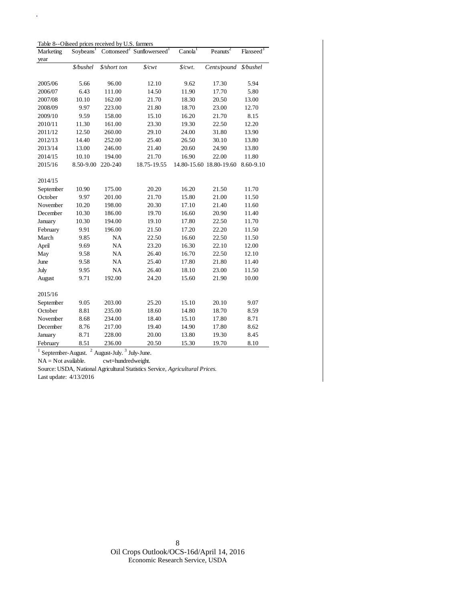Table 8--Oilseed prices received by U.S. farmers

 $\hat{\mathbf{r}}$ 

| Marketing | Soybeans <sup>1</sup> |              | Cottonseed <sup>2</sup> Sunflowerseed <sup>1</sup> | $Canola^T$ | Peanuts <sup>2</sup>    | Flaxseed <sup>3</sup> |
|-----------|-----------------------|--------------|----------------------------------------------------|------------|-------------------------|-----------------------|
| year      |                       |              |                                                    |            |                         |                       |
|           | \$/bushel             | \$/short ton | $\frac{L}{2}$                                      | \$/cwt.    | Cents/pound             | \$/bushel             |
|           |                       |              |                                                    |            |                         |                       |
| 2005/06   | 5.66                  | 96.00        | 12.10                                              | 9.62       | 17.30                   | 5.94                  |
| 2006/07   | 6.43                  | 111.00       | 14.50                                              | 11.90      | 17.70                   | 5.80                  |
| 2007/08   | 10.10                 | 162.00       | 21.70                                              | 18.30      | 20.50                   | 13.00                 |
| 2008/09   | 9.97                  | 223.00       | 21.80                                              | 18.70      | 23.00                   | 12.70                 |
| 2009/10   | 9.59                  | 158.00       | 15.10                                              | 16.20      | 21.70                   | 8.15                  |
| 2010/11   | 11.30                 | 161.00       | 23.30                                              | 19.30      | 22.50                   | 12.20                 |
| 2011/12   | 12.50                 | 260.00       | 29.10                                              | 24.00      | 31.80                   | 13.90                 |
| 2012/13   | 14.40                 | 252.00       | 25.40                                              | 26.50      | 30.10                   | 13.80                 |
| 2013/14   | 13.00                 | 246.00       | 21.40                                              | 20.60      | 24.90                   | 13.80                 |
| 2014/15   | 10.10                 | 194.00       | 21.70                                              | 16.90      | 22.00                   | 11.80                 |
| 2015/16   | 8.50-9.00             | 220-240      | 18.75-19.55                                        |            | 14.80-15.60 18.80-19.60 | 8.60-9.10             |
|           |                       |              |                                                    |            |                         |                       |
| 2014/15   |                       |              |                                                    |            |                         |                       |
| September | 10.90                 | 175.00       | 20.20                                              | 16.20      | 21.50                   | 11.70                 |
| October   | 9.97                  | 201.00       | 21.70                                              | 15.80      | 21.00                   | 11.50                 |
| November  | 10.20                 | 198.00       | 20.30                                              | 17.10      | 21.40                   | 11.60                 |
| December  | 10.30                 | 186.00       | 19.70                                              | 16.60      | 20.90                   | 11.40                 |
| January   | 10.30                 | 194.00       | 19.10                                              | 17.80      | 22.50                   | 11.70                 |
| February  | 9.91                  | 196.00       | 21.50                                              | 17.20      | 22.20                   | 11.50                 |
| March     | 9.85                  | <b>NA</b>    | 22.50                                              | 16.60      | 22.50                   | 11.50                 |
| April     | 9.69                  | NA           | 23.20                                              | 16.30      | 22.10                   | 12.00                 |
| May       | 9.58                  | NA           | 26.40                                              | 16.70      | 22.50                   | 12.10                 |
| June      | 9.58                  | NA           | 25.40                                              | 17.80      | 21.80                   | 11.40                 |
| July      | 9.95                  | <b>NA</b>    | 26.40                                              | 18.10      | 23.00                   | 11.50                 |
| August    | 9.71                  | 192.00       | 24.20                                              | 15.60      | 21.90                   | 10.00                 |
|           |                       |              |                                                    |            |                         |                       |
| 2015/16   |                       |              |                                                    |            |                         |                       |
| September | 9.05                  | 203.00       | 25.20                                              | 15.10      | 20.10                   | 9.07                  |
| October   | 8.81                  | 235.00       | 18.60                                              | 14.80      | 18.70                   | 8.59                  |
| November  | 8.68                  | 234.00       | 18.40                                              | 15.10      | 17.80                   | 8.71                  |
| December  | 8.76                  | 217.00       | 19.40                                              | 14.90      | 17.80                   | 8.62                  |
| January   | 8.71                  | 228.00       | 20.00                                              | 13.80      | 19.30                   | 8.45                  |
| February  | 8.51                  | 236.00       | 20.50                                              | 15.30      | 19.70                   | 8.10                  |

 $1$  September-August.  $2$  August-July.  $3$  July-June.

NA = Not available. cwt=hundredweight.

Source: USDA, National Agricultural Statistics Service, *Agricultural Prices.* 

Last update: 4/13/2016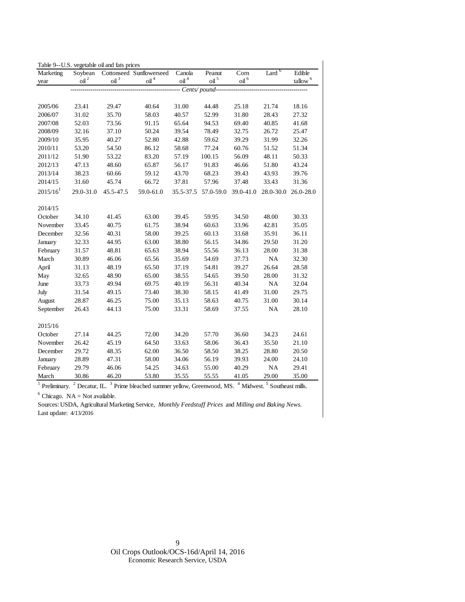| Marketing     | Soybean          | Table 9--U.S. vegetable oil and fats prices | Cottonseed Sunflowerseed | Canola           | Peanut           | Corn             | Lard $6$  | Edible                 |
|---------------|------------------|---------------------------------------------|--------------------------|------------------|------------------|------------------|-----------|------------------------|
|               | oil <sup>2</sup> | $\mathop{\rm oil}\nolimits^3$               | $\mathbf{oil}^4$         | $\mathbf{oil}^4$ | oil <sup>5</sup> | oil <sup>6</sup> |           | $t$ allow <sup>6</sup> |
| year          |                  |                                             |                          |                  | Cents/pound--    |                  |           |                        |
|               |                  |                                             |                          |                  |                  |                  |           |                        |
| 2005/06       | 23.41            | 29.47                                       | 40.64                    | 31.00            | 44.48            | 25.18            | 21.74     | 18.16                  |
| 2006/07       | 31.02            | 35.70                                       | 58.03                    | 40.57            | 52.99            | 31.80            | 28.43     | 27.32                  |
| 2007/08       | 52.03            | 73.56                                       | 91.15                    | 65.64            | 94.53            | 69.40            | 40.85     | 41.68                  |
| 2008/09       | 32.16            | 37.10                                       | 50.24                    | 39.54            | 78.49            | 32.75            | 26.72     | 25.47                  |
| 2009/10       | 35.95            | 40.27                                       | 52.80                    | 42.88            | 59.62            | 39.29            | 31.99     | 32.26                  |
| 2010/11       | 53.20            | 54.50                                       | 86.12                    | 58.68            | 77.24            | 60.76            | 51.52     | 51.34                  |
| 2011/12       | 51.90            | 53.22                                       | 83.20                    | 57.19            | 100.15           | 56.09            | 48.11     | 50.33                  |
| 2012/13       | 47.13            | 48.60                                       | 65.87                    | 56.17            | 91.83            | 46.66            | 51.80     | 43.24                  |
| 2013/14       | 38.23            | 60.66                                       | 59.12                    | 43.70            | 68.23            | 39.43            | 43.93     | 39.76                  |
| 2014/15       | 31.60            | 45.74                                       | 66.72                    | 37.81            | 57.96            | 37.48            | 33.43     | 31.36                  |
| $2015/16^{1}$ | 29.0-31.0        | 45.5-47.5                                   | 59.0-61.0                | 35.5-37.5        | 57.0-59.0        | 39.0-41.0        | 28.0-30.0 | 26.0-28.0              |
|               |                  |                                             |                          |                  |                  |                  |           |                        |
| 2014/15       |                  |                                             |                          |                  |                  |                  |           |                        |
| October       | 34.10            | 41.45                                       | 63.00                    | 39.45            | 59.95            | 34.50            | 48.00     | 30.33                  |
| November      | 33.45            | 40.75                                       | 61.75                    | 38.94            | 60.63            | 33.96            | 42.81     | 35.05                  |
| December      | 32.56            | 40.31                                       | 58.00                    | 39.25            | 60.13            | 33.68            | 35.91     | 36.11                  |
| January       | 32.33            | 44.95                                       | 63.00                    | 38.80            | 56.15            | 34.86            | 29.50     | 31.20                  |
| February      | 31.57            | 48.81                                       | 65.63                    | 38.94            | 55.56            | 36.13            | 28.00     | 31.38                  |
| March         | 30.89            | 46.06                                       | 65.56                    | 35.69            | 54.69            | 37.73            | NA        | 32.30                  |
| April         | 31.13            | 48.19                                       | 65.50                    | 37.19            | 54.81            | 39.27            | 26.64     | 28.58                  |
| May           | 32.65            | 48.90                                       | 65.00                    | 38.55            | 54.65            | 39.50            | 28.00     | 31.32                  |
| June          | 33.73            | 49.94                                       | 69.75                    | 40.19            | 56.31            | 40.34            | NA        | 32.04                  |
| July          | 31.54            | 49.15                                       | 73.40                    | 38.30            | 58.15            | 41.49            | 31.00     | 29.75                  |
| August        | 28.87            | 46.25                                       | 75.00                    | 35.13            | 58.63            | 40.75            | 31.00     | 30.14                  |
| September     | 26.43            | 44.13                                       | 75.00                    | 33.31            | 58.69            | 37.55            | <b>NA</b> | 28.10                  |
| 2015/16       |                  |                                             |                          |                  |                  |                  |           |                        |
| October       | 27.14            | 44.25                                       | 72.00                    | 34.20            | 57.70            | 36.60            | 34.23     | 24.61                  |
| November      | 26.42            | 45.19                                       | 64.50                    | 33.63            | 58.06            | 36.43            | 35.50     | 21.10                  |
| December      | 29.72            | 48.35                                       | 62.00                    | 36.50            | 58.50            | 38.25            | 28.80     | 20.50                  |
| January       | 28.89            | 47.31                                       | 58.00                    | 34.06            | 56.19            | 39.93            | 24.00     | 24.10                  |
| February      | 29.79            | 46.06                                       | 54.25                    | 34.63            | 55.00            | 40.29            | NA        | 29.41                  |
| March         | 30.86            | 46.20                                       | 53.80                    | 35.55            | 55.55            | 41.05            | 29.00     | 35.00                  |

Table 9--U.S. vegetable oil and fats prices

<sup>1</sup> Preliminary. <sup>2</sup> Decatur, IL. <sup>3</sup> Prime bleached summer yellow, Greenwood, MS. <sup>4</sup> Midwest. <sup>5</sup> Southeast mills.

<sup>6</sup> Chicago. NA = Not available.

Sources: USDA, Agricultural Marketing Service, *Monthly Feedstuff Prices* and *Milling and Baking News.*  Last update: 4/13/2016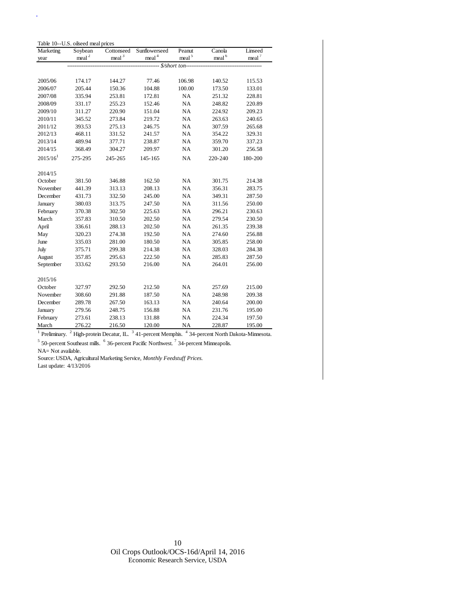|         |                                                            |                                                                                           |                                                                            |                                                                 | Linseed                                                   |
|---------|------------------------------------------------------------|-------------------------------------------------------------------------------------------|----------------------------------------------------------------------------|-----------------------------------------------------------------|-----------------------------------------------------------|
|         |                                                            |                                                                                           |                                                                            |                                                                 | meal <sup>7</sup>                                         |
|         |                                                            |                                                                                           |                                                                            |                                                                 |                                                           |
| 174.17  | 144.27                                                     | 77.46                                                                                     | 106.98                                                                     | 140.52                                                          | 115.53                                                    |
| 205.44  | 150.36                                                     | 104.88                                                                                    | 100.00                                                                     | 173.50                                                          | 133.01                                                    |
| 335.94  | 253.81                                                     | 172.81                                                                                    | NA                                                                         | 251.32                                                          | 228.81                                                    |
| 331.17  | 255.23                                                     | 152.46                                                                                    | NA                                                                         | 248.82                                                          | 220.89                                                    |
| 311.27  | 220.90                                                     | 151.04                                                                                    | NA                                                                         | 224.92                                                          | 209.23                                                    |
| 345.52  | 273.84                                                     | 219.72                                                                                    | NA                                                                         | 263.63                                                          | 240.65                                                    |
| 393.53  | 275.13                                                     | 246.75                                                                                    | NA                                                                         | 307.59                                                          | 265.68                                                    |
| 468.11  | 331.52                                                     | 241.57                                                                                    | NA                                                                         | 354.22                                                          | 329.31                                                    |
| 489.94  | 377.71                                                     | 238.87                                                                                    | NA                                                                         | 359.70                                                          | 337.23                                                    |
| 368.49  | 304.27                                                     | 209.97                                                                                    | NA                                                                         | 301.20                                                          | 256.58                                                    |
| 275-295 | 245-265                                                    | 145-165                                                                                   | NA                                                                         | 220-240                                                         | 180-200                                                   |
|         |                                                            |                                                                                           |                                                                            |                                                                 |                                                           |
|         |                                                            |                                                                                           |                                                                            |                                                                 |                                                           |
| 381.50  | 346.88                                                     | 162.50                                                                                    | <b>NA</b>                                                                  | 301.75                                                          | 214.38                                                    |
| 441.39  | 313.13                                                     | 208.13                                                                                    | NA                                                                         | 356.31                                                          | 283.75                                                    |
| 431.73  | 332.50                                                     | 245.00                                                                                    | NA                                                                         | 349.31                                                          | 287.50                                                    |
| 380.03  | 313.75                                                     | 247.50                                                                                    | NA                                                                         | 311.56                                                          | 250.00                                                    |
| 370.38  | 302.50                                                     | 225.63                                                                                    | NA                                                                         | 296.21                                                          | 230.63                                                    |
| 357.83  | 310.50                                                     | 202.50                                                                                    | NA                                                                         | 279.54                                                          | 230.50                                                    |
| 336.61  | 288.13                                                     | 202.50                                                                                    | NA                                                                         | 261.35                                                          | 239.38                                                    |
| 320.23  | 274.38                                                     | 192.50                                                                                    | NA                                                                         | 274.60                                                          | 256.88                                                    |
| 335.03  | 281.00                                                     | 180.50                                                                                    | NA                                                                         | 305.85                                                          | 258.00                                                    |
| 375.71  | 299.38                                                     | 214.38                                                                                    | NA                                                                         | 328.03                                                          | 284.38                                                    |
| 357.85  | 295.63                                                     | 222.50                                                                                    | NA                                                                         | 285.83                                                          | 287.50                                                    |
| 333.62  | 293.50                                                     | 216.00                                                                                    | NA                                                                         | 264.01                                                          | 256.00                                                    |
|         |                                                            |                                                                                           |                                                                            |                                                                 |                                                           |
|         | 292.50                                                     |                                                                                           | <b>NA</b>                                                                  |                                                                 | 215.00                                                    |
| 308.60  | 291.88                                                     | 187.50                                                                                    | NA                                                                         | 248.98                                                          | 209.38                                                    |
| 289.78  | 267.50                                                     |                                                                                           | NA                                                                         | 240.64                                                          | 200.00                                                    |
|         |                                                            |                                                                                           |                                                                            |                                                                 | 195.00                                                    |
| 273.61  | 238.13                                                     | 131.88                                                                                    | NA                                                                         | 224.34                                                          | 197.50                                                    |
|         |                                                            |                                                                                           |                                                                            |                                                                 | 195.00                                                    |
|         | Soybean<br>meal <sup>2</sup><br>327.97<br>279.56<br>276.22 | Table 10--U.S. oilseed meal prices<br>Cottonseed<br>meal <sup>3</sup><br>248.75<br>216.50 | Sunflowerseed<br>meal <sup>4</sup><br>212.50<br>163.13<br>156.88<br>120.00 | Peanut<br>meal <sup>5</sup><br>\$/short ton-<br>NA<br><b>NA</b> | Canola<br>meal <sup>6</sup><br>257.69<br>231.76<br>228.87 |

<sup>1</sup> Preliminary. <sup>2</sup> High-protein Decatur, IL.  $3$  41-percent Memphis.  $4$  34-percent North Dakota-Minnesota.

 $<sup>5</sup>$  50-percent Southeast mills.  $<sup>6</sup>$  36-percent Pacific Northwest.  $<sup>7</sup>$  34-percent Minneapolis.</sup></sup></sup>

NA= Not available.

 $\hat{\mathbf{r}}$ 

Source: USDA, Agricultural Marketing Service, *Monthly Feedstuff Prices.*  Last update: 4/13/2016